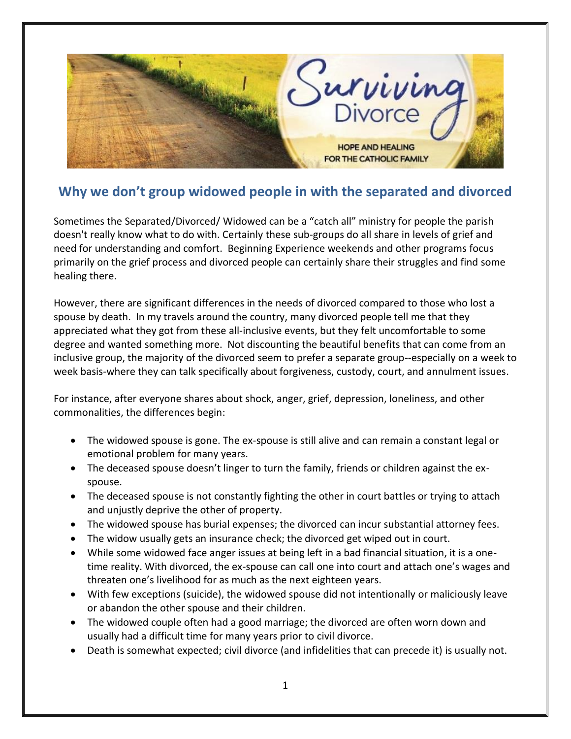

## **Why we don't group widowed people in with the separated and divorced**

Sometimes the Separated/Divorced/ Widowed can be a "catch all" ministry for people the parish doesn't really know what to do with. Certainly these sub-groups do all share in levels of grief and need for understanding and comfort. Beginning Experience weekends and other programs focus primarily on the grief process and divorced people can certainly share their struggles and find some healing there.

However, there are significant differences in the needs of divorced compared to those who lost a spouse by death. In my travels around the country, many divorced people tell me that they appreciated what they got from these all-inclusive events, but they felt uncomfortable to some degree and wanted something more. Not discounting the beautiful benefits that can come from an inclusive group, the majority of the divorced seem to prefer a separate group--especially on a week to week basis-where they can talk specifically about forgiveness, custody, court, and annulment issues.

For instance, after everyone shares about shock, anger, grief, depression, loneliness, and other commonalities, the differences begin:

- The widowed spouse is gone. The ex-spouse is still alive and can remain a constant legal or emotional problem for many years.
- The deceased spouse doesn't linger to turn the family, friends or children against the exspouse.
- The deceased spouse is not constantly fighting the other in court battles or trying to attach and unjustly deprive the other of property.
- The widowed spouse has burial expenses; the divorced can incur substantial attorney fees.
- The widow usually gets an insurance check; the divorced get wiped out in court.
- While some widowed face anger issues at being left in a bad financial situation, it is a onetime reality. With divorced, the ex-spouse can call one into court and attach one's wages and threaten one's livelihood for as much as the next eighteen years.
- With few exceptions (suicide), the widowed spouse did not intentionally or maliciously leave or abandon the other spouse and their children.
- The widowed couple often had a good marriage; the divorced are often worn down and usually had a difficult time for many years prior to civil divorce.
- Death is somewhat expected; civil divorce (and infidelities that can precede it) is usually not.